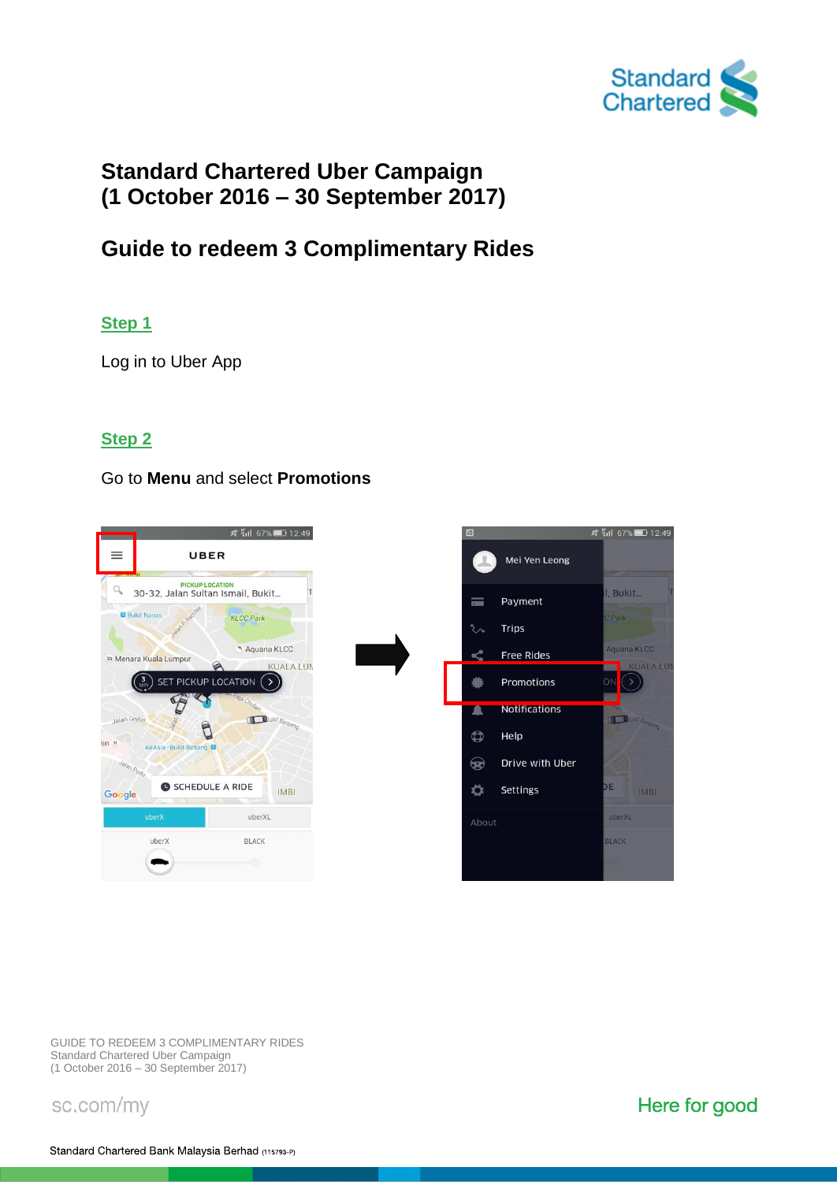

# **Standard Chartered Uber Campaign (1 October 2016 – 30 September 2017)**

# **Guide to redeem 3 Complimentary Rides**

#### **Step 1**

Log in to Uber App

#### **Step 2**

#### Go to **Menu** and select **Promotions**



GUIDE TO REDEEM 3 COMPLIMENTARY RIDES Standard Chartered Uber Campaign (1 October 2016 – 30 September 2017)

sc.com/my

Here for good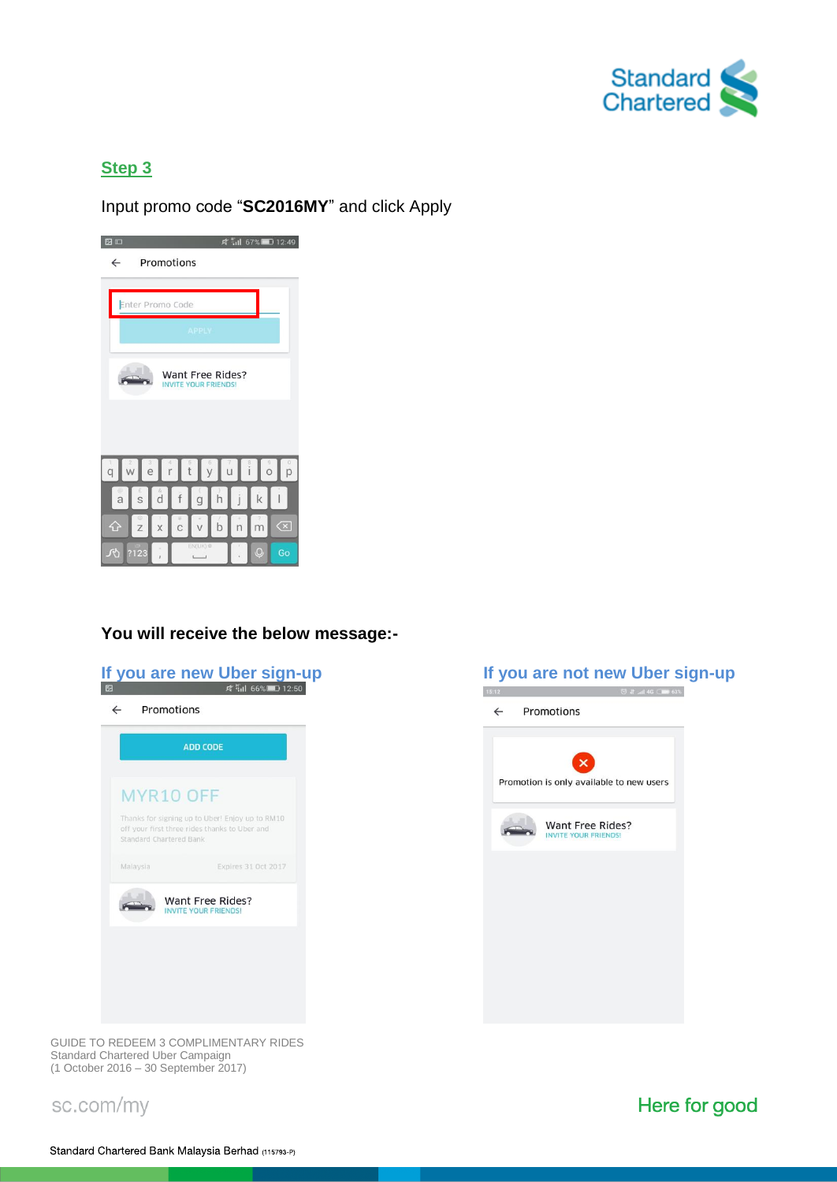

## **Step 3**

Input promo code "**SC2016MY**" and click Apply



## **You will receive the below message:-**







GUIDE TO REDEEM 3 COMPLIMENTARY RIDES Standard Chartered Uber Campaign (1 October 2016 – 30 September 2017)

sc.com/my

Here for good